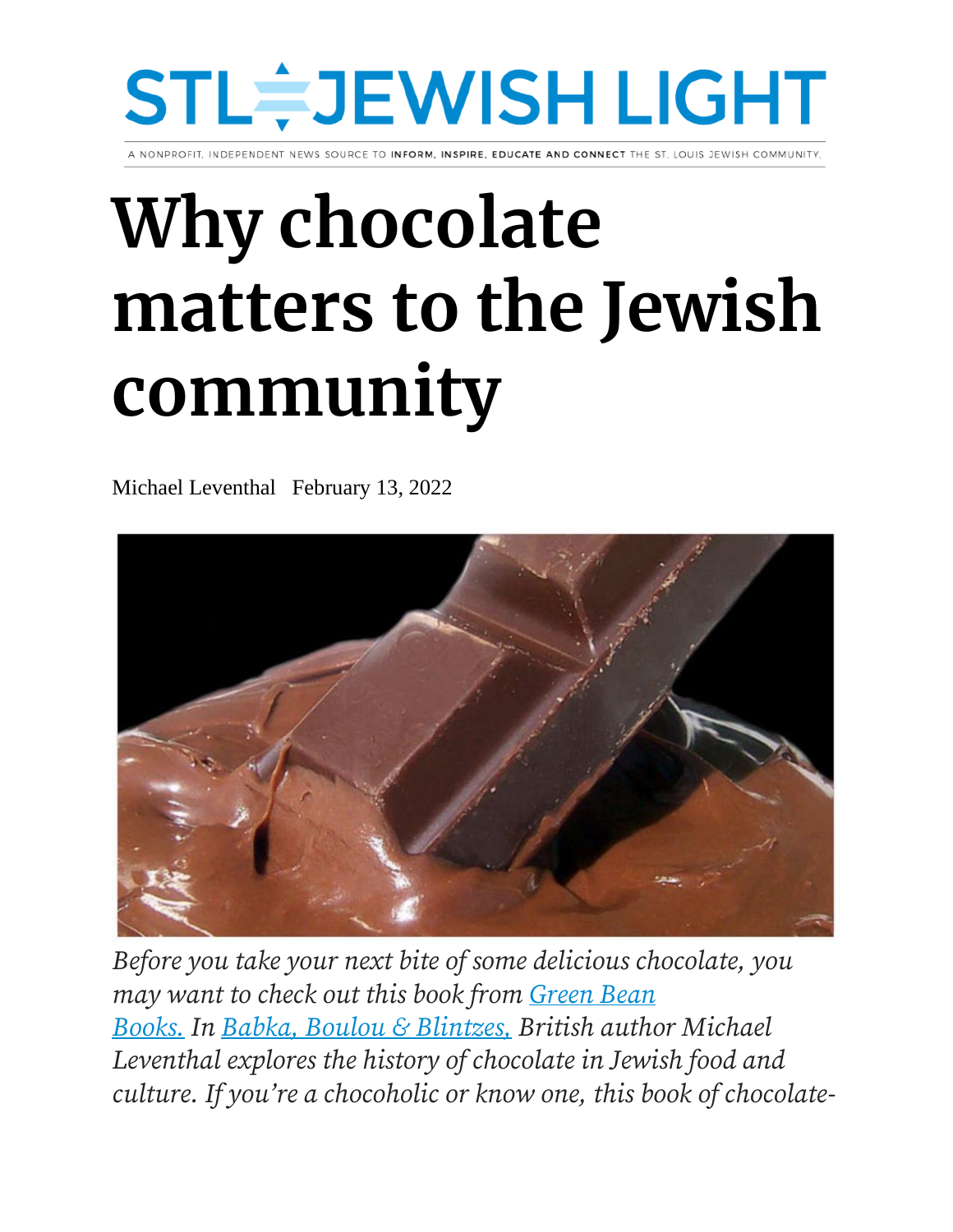# STL≑JEWISH LIGHT

TO INFORM. INSPIRE, EDUCATE AND CONNECT THE ST. LOUIS JEWISH COMMUN

# **Why chocolate matters to the Jewish community**

Michael Leventhal February 13, 2022



*Before you take your next bite of some delicious chocolate, you may want to check out this book from [Green Bean](https://greenbeanbooks.com/)  [Books.](https://greenbeanbooks.com/) In [Babka, Boulou & Blintzes,](https://www.amazon.com/Babka-Boulou-Blintzes-Chocolate-Recipes/dp/1784386995) British author Michael Leventhal explores the history of chocolate in Jewish food and culture. If you're a chocoholic or know one, this book of chocolate-*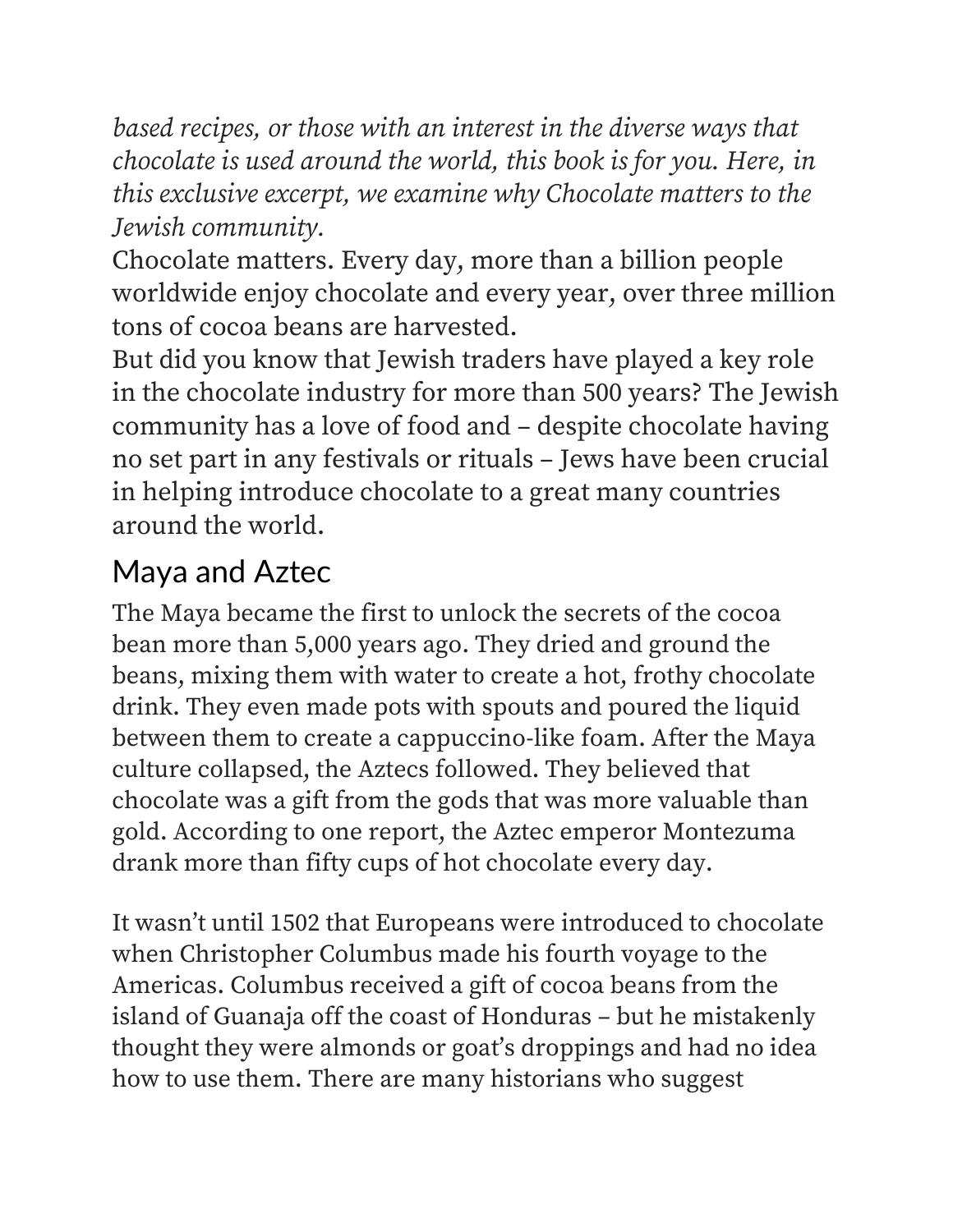*based recipes, or those with an interest in the diverse ways that chocolate is used around the world, this book is for you. Here, in this exclusive excerpt, we examine why Chocolate matters to the Jewish community.*

Chocolate matters. Every day, more than a billion people worldwide enjoy chocolate and every year, over three million tons of cocoa beans are harvested.

But did you know that Jewish traders have played a key role in the chocolate industry for more than 500 years? The Jewish community has a love of food and – despite chocolate having no set part in any festivals or rituals – Jews have been crucial in helping introduce chocolate to a great many countries around the world.

## Maya and Aztec

The Maya became the first to unlock the secrets of the cocoa bean more than 5,000 years ago. They dried and ground the beans, mixing them with water to create a hot, frothy chocolate drink. They even made pots with spouts and poured the liquid between them to create a cappuccino-like foam. After the Maya culture collapsed, the Aztecs followed. They believed that chocolate was a gift from the gods that was more valuable than gold. According to one report, the Aztec emperor Montezuma drank more than fifty cups of hot chocolate every day.

It wasn't until 1502 that Europeans were introduced to chocolate when Christopher Columbus made his fourth voyage to the Americas. Columbus received a gift of cocoa beans from the island of Guanaja off the coast of Honduras – but he mistakenly thought they were almonds or goat's droppings and had no idea how to use them. There are many historians who suggest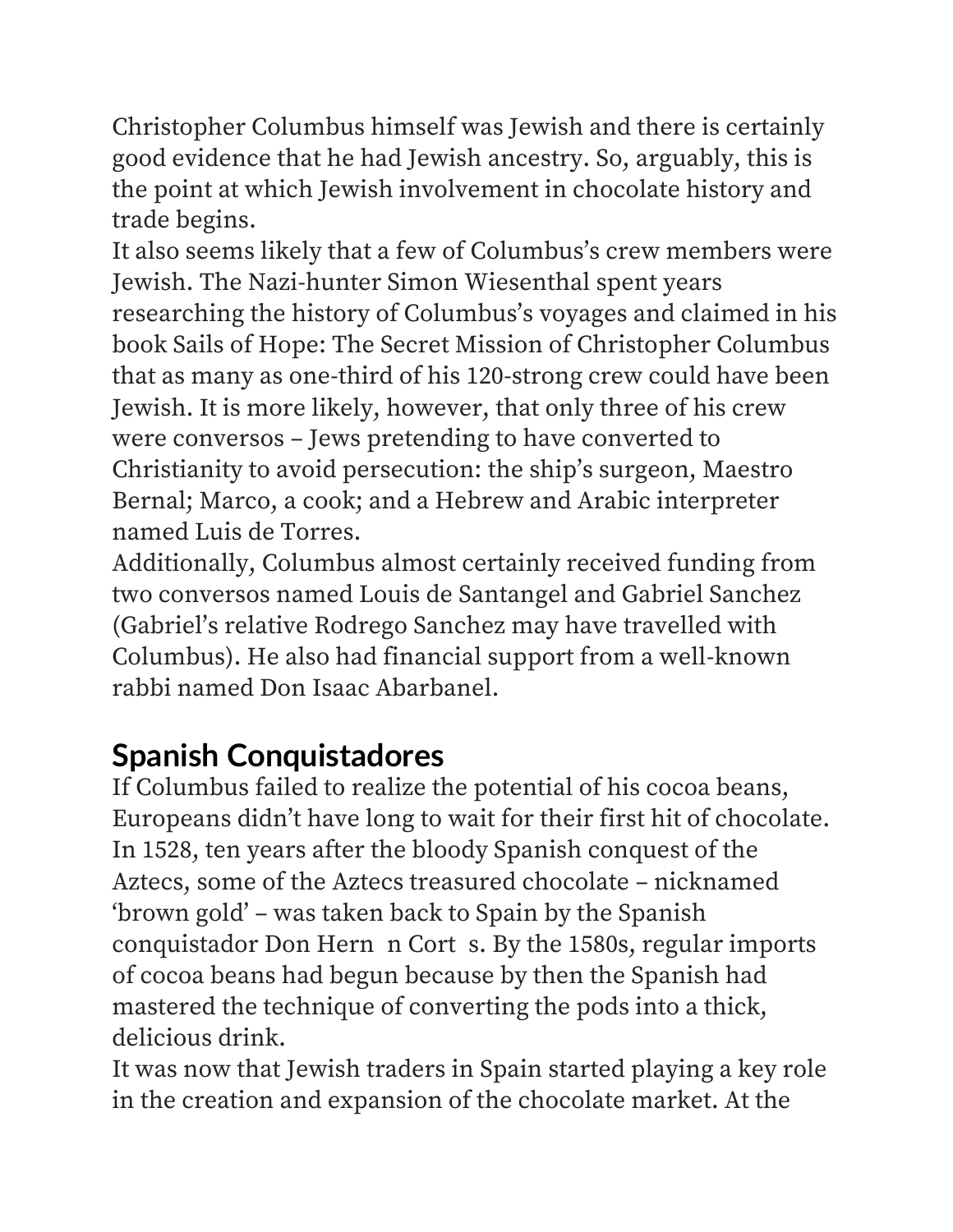Christopher Columbus himself was Jewish and there is certainly good evidence that he had Jewish ancestry. So, arguably, this is the point at which Jewish involvement in chocolate history and trade begins.

It also seems likely that a few of Columbus's crew members were Jewish. The Nazi-hunter Simon Wiesenthal spent years researching the history of Columbus's voyages and claimed in his book Sails of Hope: The Secret Mission of Christopher Columbus that as many as one-third of his 120-strong crew could have been Jewish. It is more likely, however, that only three of his crew were conversos – Jews pretending to have converted to Christianity to avoid persecution: the ship's surgeon, Maestro Bernal; Marco, a cook; and a Hebrew and Arabic interpreter named Luis de Torres.

Additionally, Columbus almost certainly received funding from two conversos named Louis de Santangel and Gabriel Sanchez (Gabriel's relative Rodrego Sanchez may have travelled with Columbus). He also had financial support from a well-known rabbi named Don Isaac Abarbanel.

## **Spanish Conquistadores**

If Columbus failed to realize the potential of his cocoa beans, Europeans didn't have long to wait for their first hit of chocolate. In 1528, ten years after the bloody Spanish conquest of the Aztecs, some of the Aztecs treasured chocolate – nicknamed 'brown gold' – was taken back to Spain by the Spanish conquistador Don Hern n Cort s. By the 1580s, regular imports of cocoa beans had begun because by then the Spanish had mastered the technique of converting the pods into a thick, delicious drink.

It was now that Jewish traders in Spain started playing a key role in the creation and expansion of the chocolate market. At the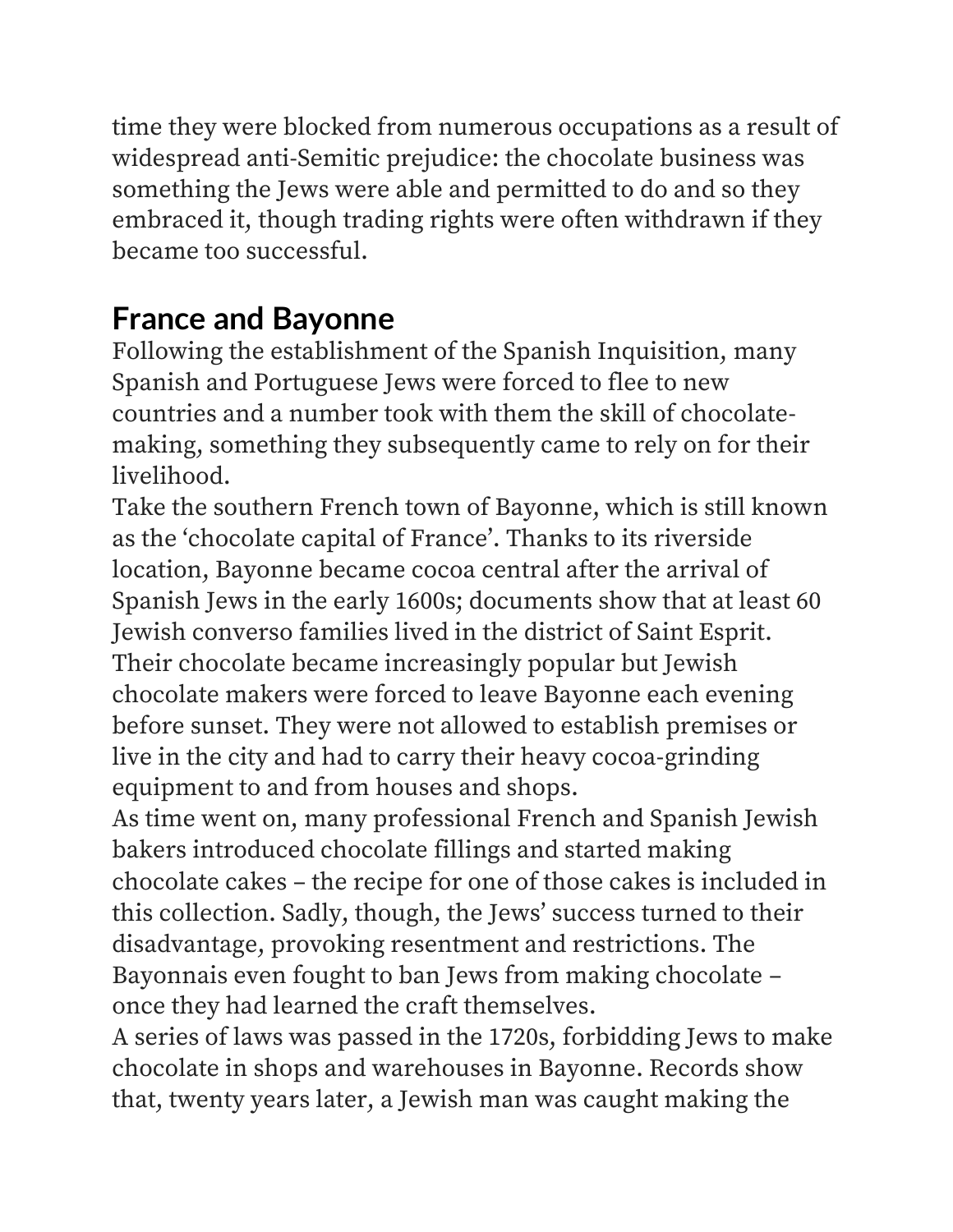time they were blocked from numerous occupations as a result of widespread anti-Semitic prejudice: the chocolate business was something the Jews were able and permitted to do and so they embraced it, though trading rights were often withdrawn if they became too successful.

# **France and Bayonne**

Following the establishment of the Spanish Inquisition, many Spanish and Portuguese Jews were forced to flee to new countries and a number took with them the skill of chocolatemaking, something they subsequently came to rely on for their livelihood.

Take the southern French town of Bayonne, which is still known as the 'chocolate capital of France'. Thanks to its riverside location, Bayonne became cocoa central after the arrival of Spanish Jews in the early 1600s; documents show that at least 60 Jewish converso families lived in the district of Saint Esprit. Their chocolate became increasingly popular but Jewish chocolate makers were forced to leave Bayonne each evening before sunset. They were not allowed to establish premises or live in the city and had to carry their heavy cocoa-grinding equipment to and from houses and shops.

As time went on, many professional French and Spanish Jewish bakers introduced chocolate fillings and started making chocolate cakes – the recipe for one of those cakes is included in this collection. Sadly, though, the Jews' success turned to their disadvantage, provoking resentment and restrictions. The Bayonnais even fought to ban Jews from making chocolate – once they had learned the craft themselves.

A series of laws was passed in the 1720s, forbidding Jews to make chocolate in shops and warehouses in Bayonne. Records show that, twenty years later, a Jewish man was caught making the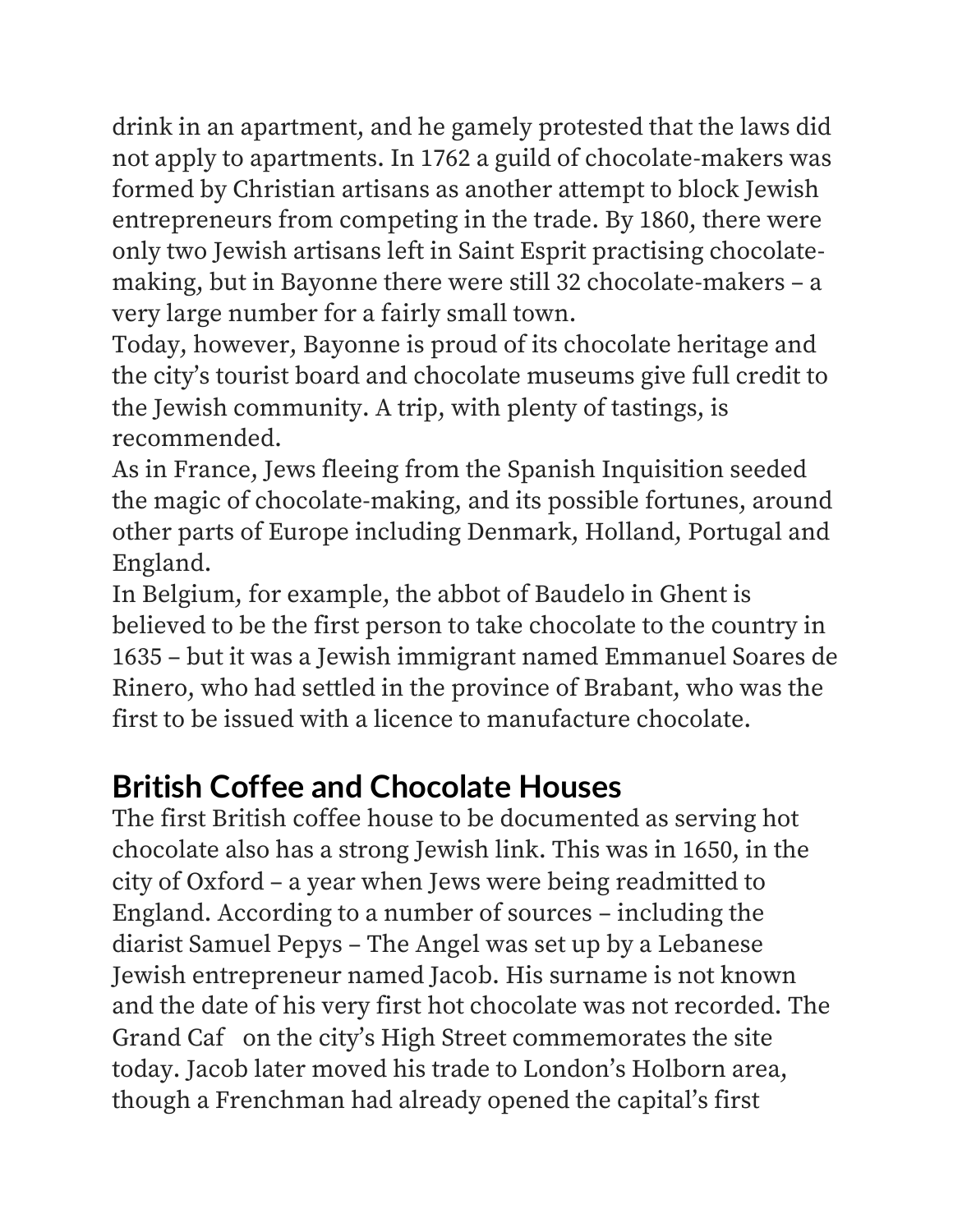drink in an apartment, and he gamely protested that the laws did not apply to apartments. In 1762 a guild of chocolate-makers was formed by Christian artisans as another attempt to block Jewish entrepreneurs from competing in the trade. By 1860, there were only two Jewish artisans left in Saint Esprit practising chocolatemaking, but in Bayonne there were still 32 chocolate-makers – a very large number for a fairly small town.

Today, however, Bayonne is proud of its chocolate heritage and the city's tourist board and chocolate museums give full credit to the Jewish community. A trip, with plenty of tastings, is recommended.

As in France, Jews fleeing from the Spanish Inquisition seeded the magic of chocolate-making, and its possible fortunes, around other parts of Europe including Denmark, Holland, Portugal and England.

In Belgium, for example, the abbot of Baudelo in Ghent is believed to be the first person to take chocolate to the country in 1635 – but it was a Jewish immigrant named Emmanuel Soares de Rinero, who had settled in the province of Brabant, who was the first to be issued with a licence to manufacture chocolate.

## **British Coffee and Chocolate Houses**

The first British coffee house to be documented as serving hot chocolate also has a strong Jewish link. This was in 1650, in the city of Oxford – a year when Jews were being readmitted to England. According to a number of sources – including the diarist Samuel Pepys – The Angel was set up by a Lebanese Jewish entrepreneur named Jacob. His surname is not known and the date of his very first hot chocolate was not recorded. The Grand Caf on the city's High Street commemorates the site today. Jacob later moved his trade to London's Holborn area, though a Frenchman had already opened the capital's first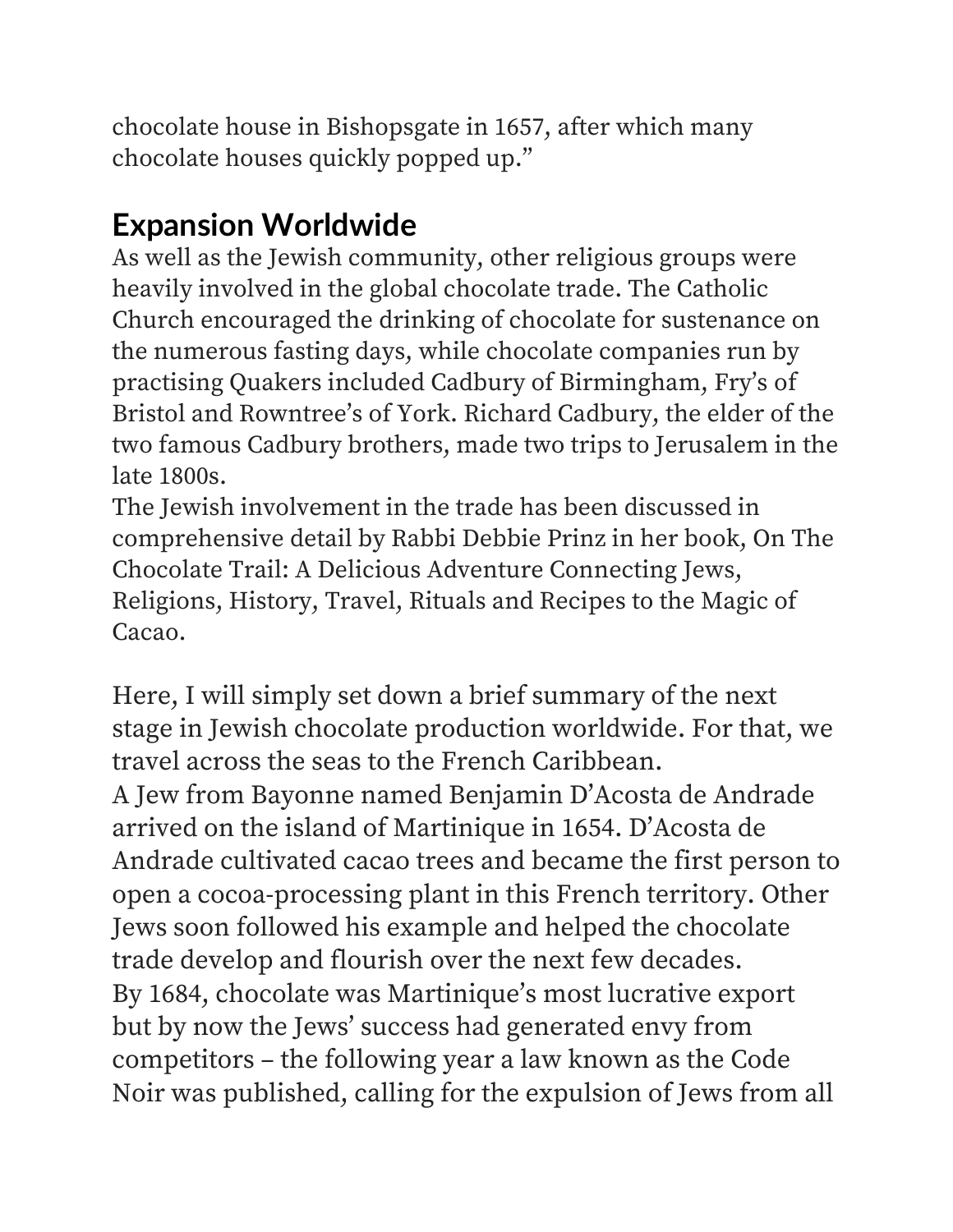chocolate house in Bishopsgate in 1657, after which many chocolate houses quickly popped up."

# **Expansion Worldwide**

As well as the Jewish community, other religious groups were heavily involved in the global chocolate trade. The Catholic Church encouraged the drinking of chocolate for sustenance on the numerous fasting days, while chocolate companies run by practising Quakers included Cadbury of Birmingham, Fry's of Bristol and Rowntree's of York. Richard Cadbury, the elder of the two famous Cadbury brothers, made two trips to Jerusalem in the late 1800s.

The Jewish involvement in the trade has been discussed in comprehensive detail by Rabbi Debbie Prinz in her book, On The Chocolate Trail: A Delicious Adventure Connecting Jews, Religions, History, Travel, Rituals and Recipes to the Magic of Cacao.

Here, I will simply set down a brief summary of the next stage in Jewish chocolate production worldwide. For that, we travel across the seas to the French Caribbean. A Jew from Bayonne named Benjamin D'Acosta de Andrade arrived on the island of Martinique in 1654. D'Acosta de Andrade cultivated cacao trees and became the first person to open a cocoa-processing plant in this French territory. Other Jews soon followed his example and helped the chocolate trade develop and flourish over the next few decades. By 1684, chocolate was Martinique's most lucrative export but by now the Jews' success had generated envy from competitors – the following year a law known as the Code Noir was published, calling for the expulsion of Jews from all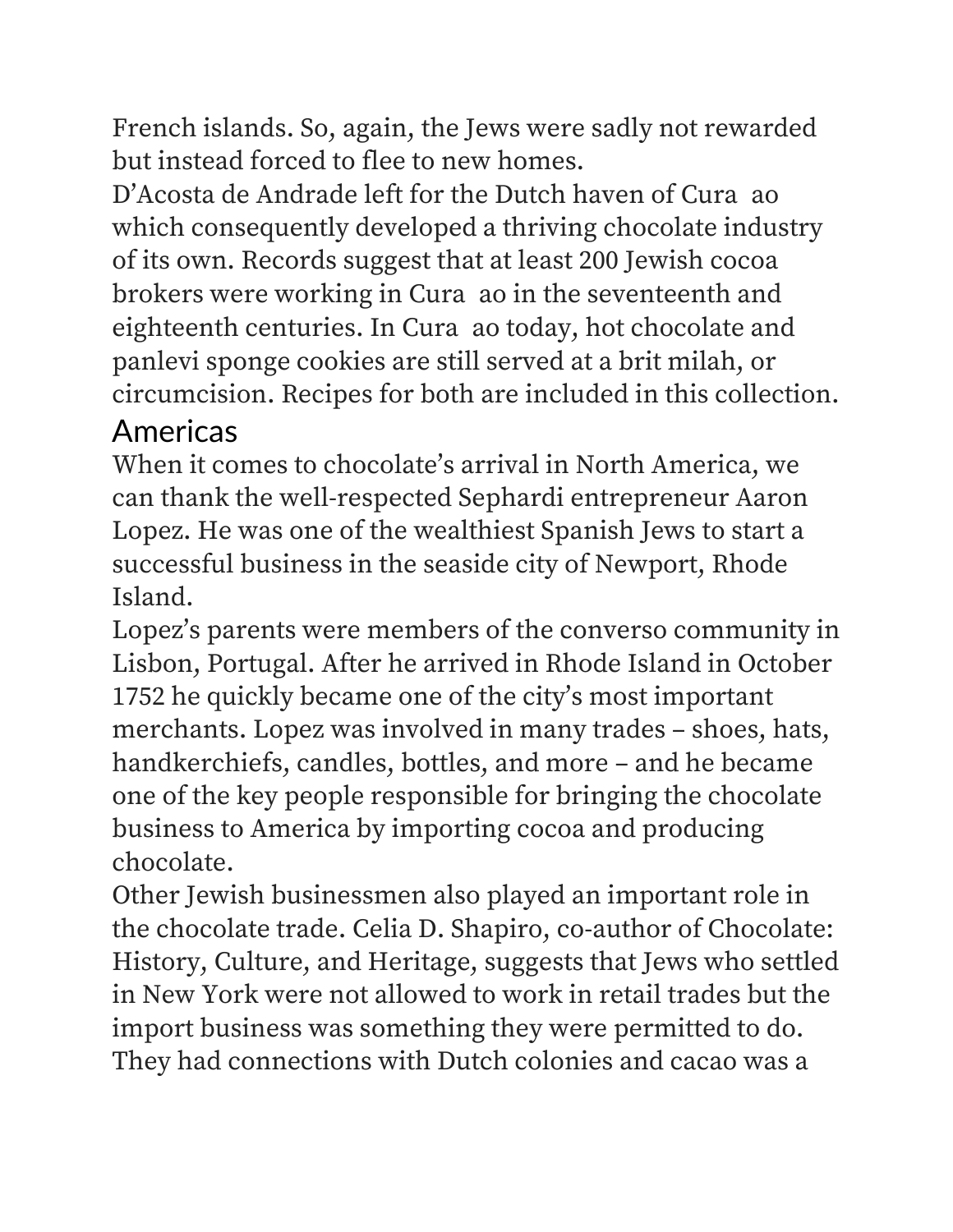French islands. So, again, the Jews were sadly not rewarded but instead forced to flee to new homes.

D'Acosta de Andrade left for the Dutch haven of Cura ao which consequently developed a thriving chocolate industry of its own. Records suggest that at least 200 Jewish cocoa brokers were working in Cura ao in the seventeenth and eighteenth centuries. In Cura ao today, hot chocolate and panlevi sponge cookies are still served at a brit milah, or circumcision. Recipes for both are included in this collection.

#### Americas

When it comes to chocolate's arrival in North America, we can thank the well-respected Sephardi entrepreneur Aaron Lopez. He was one of the wealthiest Spanish Jews to start a successful business in the seaside city of Newport, Rhode Island.

Lopez's parents were members of the converso community in Lisbon, Portugal. After he arrived in Rhode Island in October 1752 he quickly became one of the city's most important merchants. Lopez was involved in many trades – shoes, hats, handkerchiefs, candles, bottles, and more – and he became one of the key people responsible for bringing the chocolate business to America by importing cocoa and producing chocolate.

Other Jewish businessmen also played an important role in the chocolate trade. Celia D. Shapiro, co-author of Chocolate: History, Culture, and Heritage, suggests that Jews who settled in New York were not allowed to work in retail trades but the import business was something they were permitted to do. They had connections with Dutch colonies and cacao was a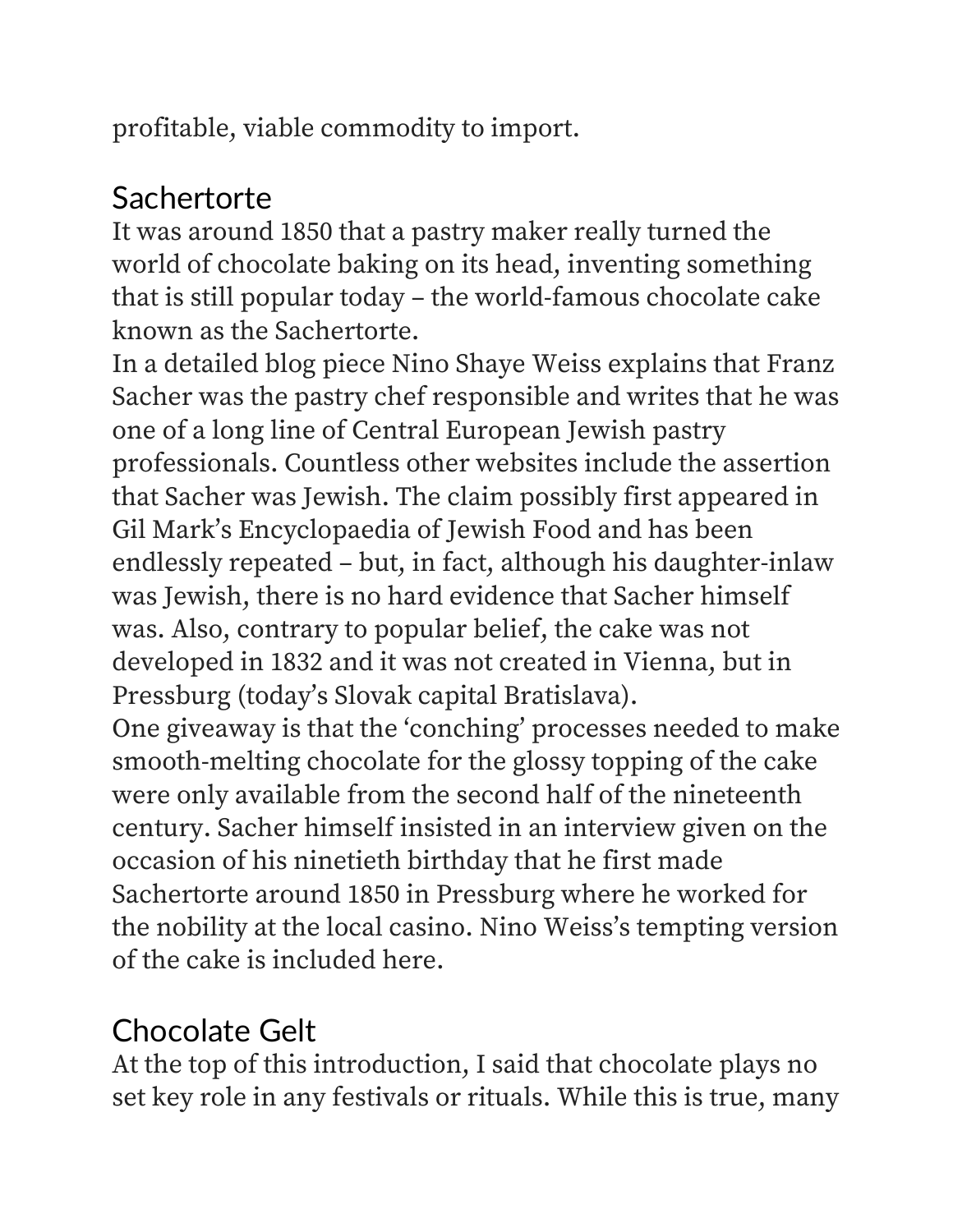profitable, viable commodity to import.

#### Sachertorte

It was around 1850 that a pastry maker really turned the world of chocolate baking on its head, inventing something that is still popular today – the world-famous chocolate cake known as the Sachertorte.

In a detailed blog piece Nino Shaye Weiss explains that Franz Sacher was the pastry chef responsible and writes that he was one of a long line of Central European Jewish pastry professionals. Countless other websites include the assertion that Sacher was Jewish. The claim possibly first appeared in Gil Mark's Encyclopaedia of Jewish Food and has been endlessly repeated – but, in fact, although his daughter-inlaw was Jewish, there is no hard evidence that Sacher himself was. Also, contrary to popular belief, the cake was not developed in 1832 and it was not created in Vienna, but in Pressburg (today's Slovak capital Bratislava).

One giveaway is that the 'conching' processes needed to make smooth-melting chocolate for the glossy topping of the cake were only available from the second half of the nineteenth century. Sacher himself insisted in an interview given on the occasion of his ninetieth birthday that he first made Sachertorte around 1850 in Pressburg where he worked for the nobility at the local casino. Nino Weiss's tempting version of the cake is included here.

## Chocolate Gelt

At the top of this introduction, I said that chocolate plays no set key role in any festivals or rituals. While this is true, many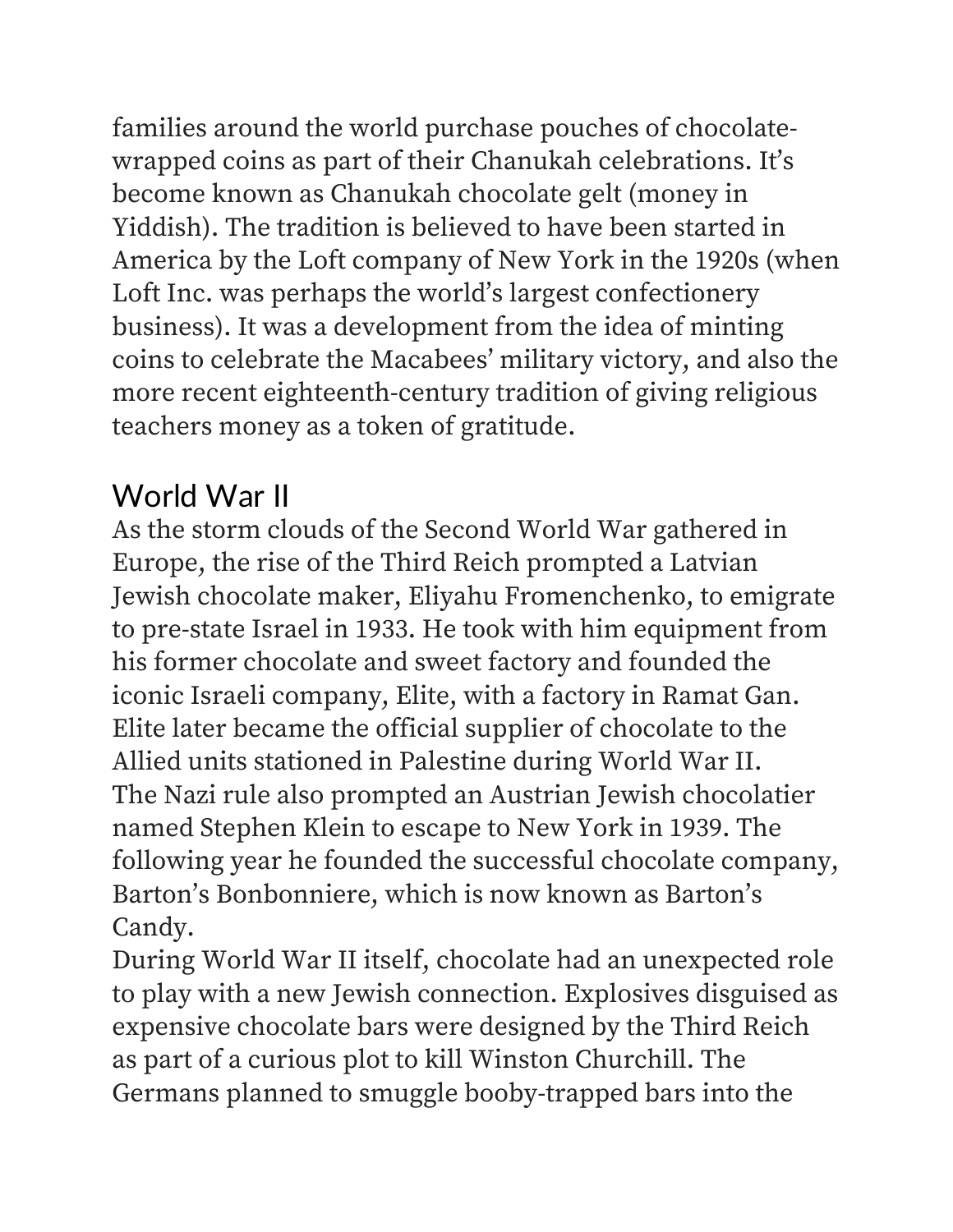families around the world purchase pouches of chocolatewrapped coins as part of their Chanukah celebrations. It's become known as Chanukah chocolate gelt (money in Yiddish). The tradition is believed to have been started in America by the Loft company of New York in the 1920s (when Loft Inc. was perhaps the world's largest confectionery business). It was a development from the idea of minting coins to celebrate the Macabees' military victory, and also the more recent eighteenth-century tradition of giving religious teachers money as a token of gratitude.

# World War II

As the storm clouds of the Second World War gathered in Europe, the rise of the Third Reich prompted a Latvian Jewish chocolate maker, Eliyahu Fromenchenko, to emigrate to pre-state Israel in 1933. He took with him equipment from his former chocolate and sweet factory and founded the iconic Israeli company, Elite, with a factory in Ramat Gan. Elite later became the official supplier of chocolate to the Allied units stationed in Palestine during World War II. The Nazi rule also prompted an Austrian Jewish chocolatier named Stephen Klein to escape to New York in 1939. The following year he founded the successful chocolate company, Barton's Bonbonniere, which is now known as Barton's Candy.

During World War II itself, chocolate had an unexpected role to play with a new Jewish connection. Explosives disguised as expensive chocolate bars were designed by the Third Reich as part of a curious plot to kill Winston Churchill. The Germans planned to smuggle booby-trapped bars into the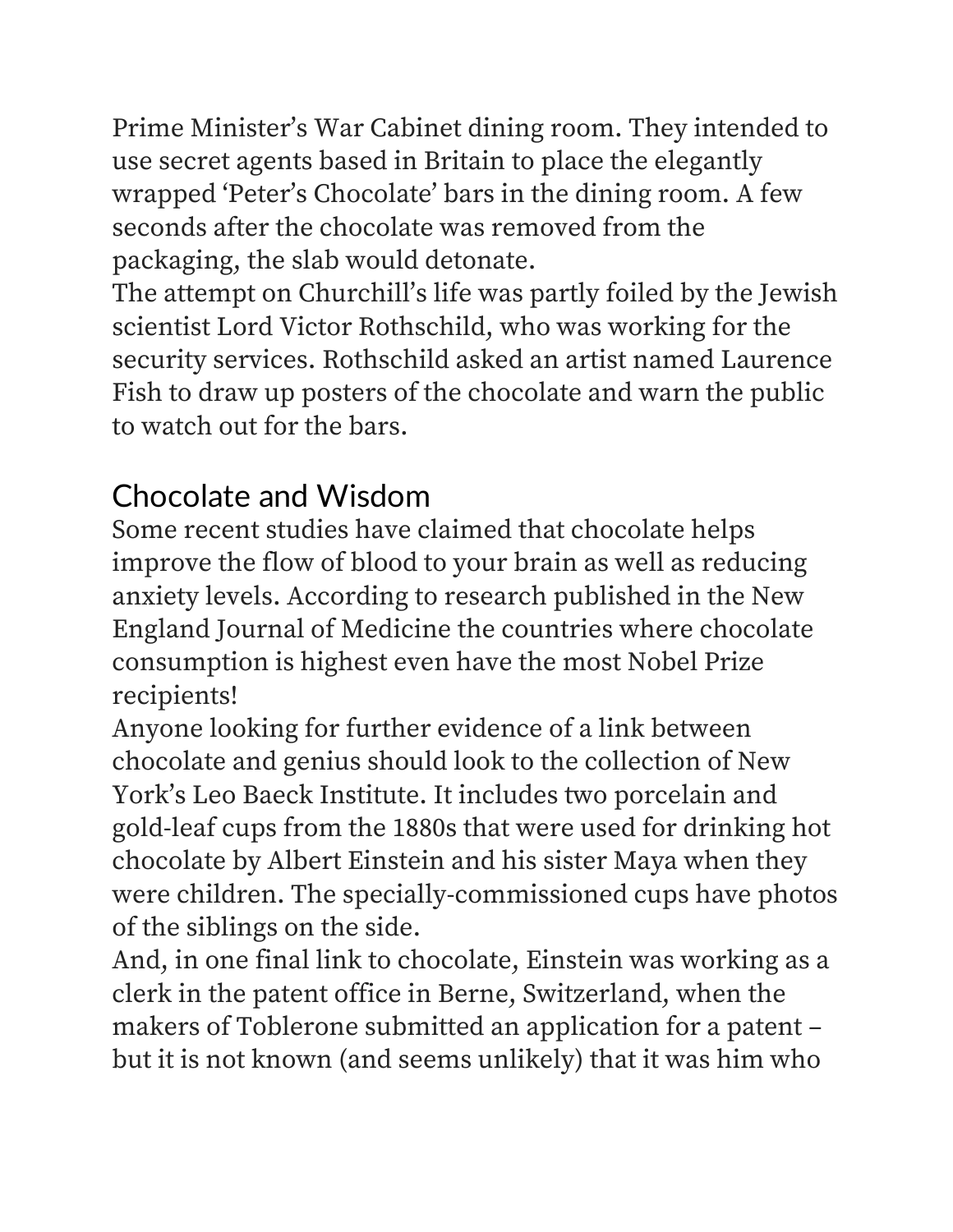Prime Minister's War Cabinet dining room. They intended to use secret agents based in Britain to place the elegantly wrapped 'Peter's Chocolate' bars in the dining room. A few seconds after the chocolate was removed from the packaging, the slab would detonate.

The attempt on Churchill's life was partly foiled by the Jewish scientist Lord Victor Rothschild, who was working for the security services. Rothschild asked an artist named Laurence Fish to draw up posters of the chocolate and warn the public to watch out for the bars.

## Chocolate and Wisdom

Some recent studies have claimed that chocolate helps improve the flow of blood to your brain as well as reducing anxiety levels. According to research published in the New England Journal of Medicine the countries where chocolate consumption is highest even have the most Nobel Prize recipients!

Anyone looking for further evidence of a link between chocolate and genius should look to the collection of New York's Leo Baeck Institute. It includes two porcelain and gold-leaf cups from the 1880s that were used for drinking hot chocolate by Albert Einstein and his sister Maya when they were children. The specially-commissioned cups have photos of the siblings on the side.

And, in one final link to chocolate, Einstein was working as a clerk in the patent office in Berne, Switzerland, when the makers of Toblerone submitted an application for a patent – but it is not known (and seems unlikely) that it was him who